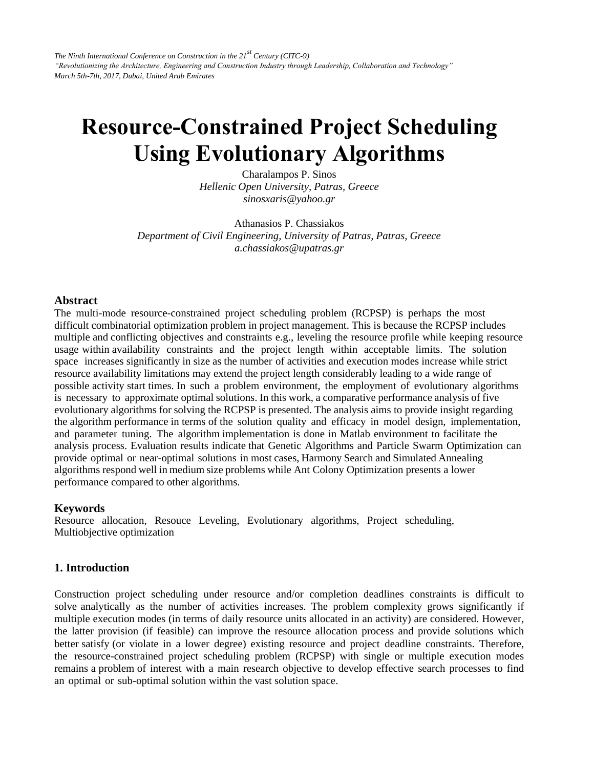*The Ninth International Conference on Construction in the 21st Century (CITC-9) "Revolutionizing the Architecture, Engineering and Construction Industry through Leadership, Collaboration and Technology" March 5th-7th, 2017, Dubai, United Arab Emirates* 

# **Resource-Constrained Project Scheduling Using Evolutionary Algorithms**

Charalampos P. Sinos *Hellenic Open University, Patras, Greece sinosxaris@yahoo.gr* 

Athanasios P. Chassiakos *Department of Civil Engineering, University of Patras, Patras, Greece a.chassiakos@upatras.gr*

### **Abstract**

The multi-mode resource-constrained project scheduling problem (RCPSP) is perhaps the most difficult combinatorial optimization problem in project management. This is because the RCPSP includes multiple and conflicting objectives and constraints e.g., leveling the resource profile while keeping resource usage within availability constraints and the project length within acceptable limits. The solution space increases significantly in size as the number of activities and execution modes increase while strict resource availability limitations may extend the project length considerably leading to a wide range of possible activity start times. In such a problem environment, the employment of evolutionary algorithms is necessary to approximate optimal solutions. In this work, a comparative performance analysis of five evolutionary algorithms for solving the RCPSP is presented. The analysis aims to provide insight regarding the algorithm performance in terms of the solution quality and efficacy in model design, implementation, and parameter tuning. The algorithm implementation is done in Matlab environment to facilitate the analysis process. Evaluation results indicate that Genetic Algorithms and Particle Swarm Optimization can provide optimal or near-optimal solutions in most cases, Harmony Search and Simulated Annealing algorithms respond well in medium size problems while Ant Colony Optimization presents a lower performance compared to other algorithms.

#### **Keywords**

Resource allocation, Resouce Leveling, Evolutionary algorithms, Project scheduling, Multiobjective optimization

#### **1. Introduction**

Construction project scheduling under resource and/or completion deadlines constraints is difficult to solve analytically as the number of activities increases. The problem complexity grows significantly if multiple execution modes (in terms of daily resource units allocated in an activity) are considered. However, the latter provision (if feasible) can improve the resource allocation process and provide solutions which better satisfy (or violate in a lower degree) existing resource and project deadline constraints. Therefore, the resource-constrained project scheduling problem (RCPSP) with single or multiple execution modes remains a problem of interest with a main research objective to develop effective search processes to find an optimal or sub-optimal solution within the vast solution space.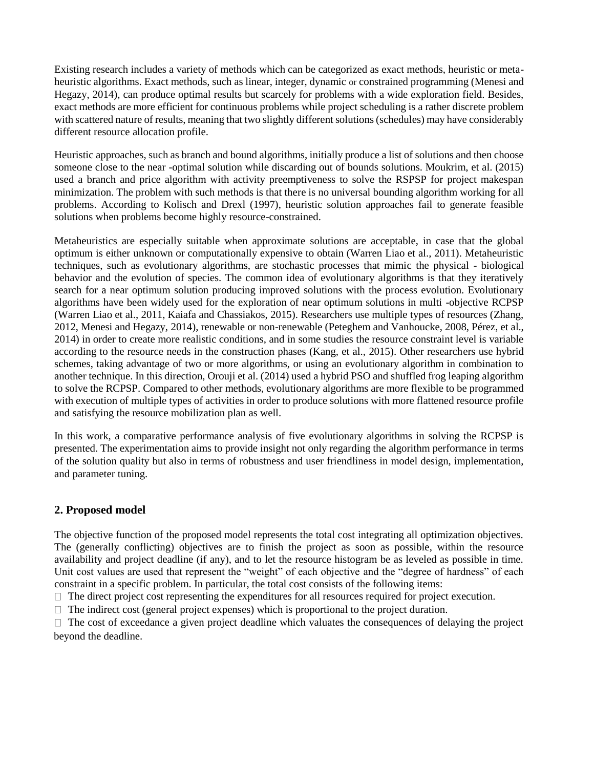Existing research includes a variety of methods which can be categorized as exact methods, heuristic or metaheuristic algorithms. Exact methods, such as linear, integer, dynamic or constrained programming (Menesi and Hegazy, 2014), can produce optimal results but scarcely for problems with a wide exploration field. Besides, exact methods are more efficient for continuous problems while project scheduling is a rather discrete problem with scattered nature of results, meaning that two slightly different solutions (schedules) may have considerably different resource allocation profile.

Heuristic approaches, such as branch and bound algorithms, initially produce a list of solutions and then choose someone close to the near -optimal solution while discarding out of bounds solutions. Moukrim, et al. (2015) used a branch and price algorithm with activity preemptiveness to solve the RSPSP for project makespan minimization. The problem with such methods is that there is no universal bounding algorithm working for all problems. According to Kolisch and Drexl (1997), heuristic solution approaches fail to generate feasible solutions when problems become highly resource-constrained.

Metaheuristics are especially suitable when approximate solutions are acceptable, in case that the global optimum is either unknown or computationally expensive to obtain (Warren Liao et al., 2011). Metaheuristic techniques, such as evolutionary algorithms, are stochastic processes that mimic the physical - biological behavior and the evolution of species. The common idea of evolutionary algorithms is that they iteratively search for a near optimum solution producing improved solutions with the process evolution. Evolutionary algorithms have been widely used for the exploration of near optimum solutions in multi -objective RCPSP (Warren Liao et al., 2011, Kaiafa and Chassiakos, 2015). Researchers use multiple types of resources (Zhang, 2012, Menesi and Hegazy, 2014), renewable or non-renewable (Peteghem and Vanhoucke, 2008, Pérez, et al., 2014) in order to create more realistic conditions, and in some studies the resource constraint level is variable according to the resource needs in the construction phases (Kang, et al., 2015). Other researchers use hybrid schemes, taking advantage of two or more algorithms, or using an evolutionary algorithm in combination to another technique. In this direction, Orouji et al. (2014) used a hybrid PSO and shuffled frog leaping algorithm to solve the RCPSP. Compared to other methods, evolutionary algorithms are more flexible to be programmed with execution of multiple types of activities in order to produce solutions with more flattened resource profile and satisfying the resource mobilization plan as well.

In this work, a comparative performance analysis of five evolutionary algorithms in solving the RCPSP is presented. The experimentation aims to provide insight not only regarding the algorithm performance in terms of the solution quality but also in terms of robustness and user friendliness in model design, implementation, and parameter tuning.

## **2. Proposed model**

The objective function of the proposed model represents the total cost integrating all optimization objectives. The (generally conflicting) objectives are to finish the project as soon as possible, within the resource availability and project deadline (if any), and to let the resource histogram be as leveled as possible in time. Unit cost values are used that represent the "weight" of each objective and the "degree of hardness" of each constraint in a specific problem. In particular, the total cost consists of the following items:

 $\Box$  The direct project cost representing the expenditures for all resources required for project execution.

 $\Box$  The indirect cost (general project expenses) which is proportional to the project duration.

 $\Box$  The cost of exceedance a given project deadline which valuates the consequences of delaying the project beyond the deadline.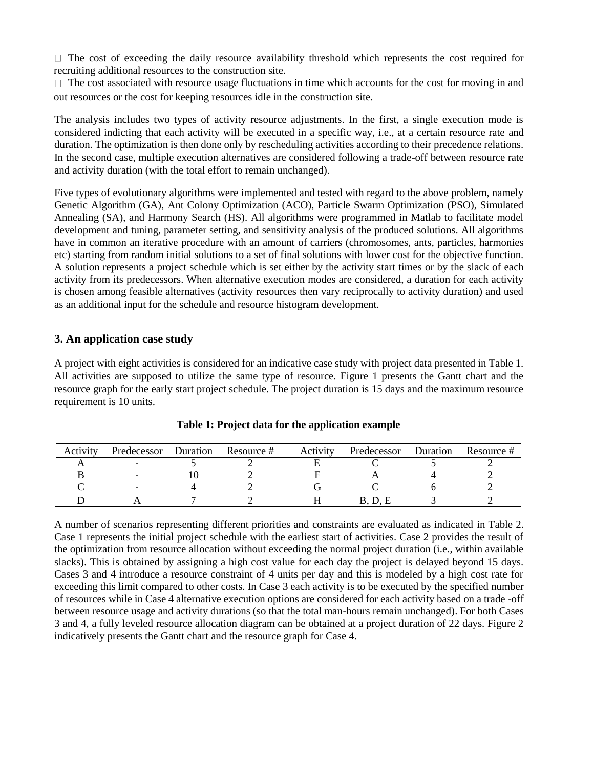$\Box$  The cost of exceeding the daily resource availability threshold which represents the cost required for recruiting additional resources to the construction site.

 $\Box$  The cost associated with resource usage fluctuations in time which accounts for the cost for moving in and out resources or the cost for keeping resources idle in the construction site.

The analysis includes two types of activity resource adjustments. In the first, a single execution mode is considered indicting that each activity will be executed in a specific way, i.e., at a certain resource rate and duration. The optimization is then done only by rescheduling activities according to their precedence relations. In the second case, multiple execution alternatives are considered following a trade-off between resource rate and activity duration (with the total effort to remain unchanged).

Five types of evolutionary algorithms were implemented and tested with regard to the above problem, namely Genetic Algorithm (GA), Ant Colony Optimization (ACO), Particle Swarm Optimization (PSO), Simulated Annealing (SA), and Harmony Search (HS). All algorithms were programmed in Matlab to facilitate model development and tuning, parameter setting, and sensitivity analysis of the produced solutions. All algorithms have in common an iterative procedure with an amount of carriers (chromosomes, ants, particles, harmonies etc) starting from random initial solutions to a set of final solutions with lower cost for the objective function. A solution represents a project schedule which is set either by the activity start times or by the slack of each activity from its predecessors. When alternative execution modes are considered, a duration for each activity is chosen among feasible alternatives (activity resources then vary reciprocally to activity duration) and used as an additional input for the schedule and resource histogram development.

## **3. An application case study**

A project with eight activities is considered for an indicative case study with project data presented in Table 1. All activities are supposed to utilize the same type of resource. Figure 1 presents the Gantt chart and the resource graph for the early start project schedule. The project duration is 15 days and the maximum resource requirement is 10 units.

| Activity | Predecessor | Duration | Resource # | Activity | Predecessor | Duration | Resource # |
|----------|-------------|----------|------------|----------|-------------|----------|------------|
|          |             |          |            |          |             |          |            |
|          |             |          |            |          |             |          |            |
|          |             |          |            |          |             |          |            |
|          |             |          |            |          |             |          |            |

**Table 1: Project data for the application example**

A number of scenarios representing different priorities and constraints are evaluated as indicated in Table 2. Case 1 represents the initial project schedule with the earliest start of activities. Case 2 provides the result of the optimization from resource allocation without exceeding the normal project duration (i.e., within available slacks). This is obtained by assigning a high cost value for each day the project is delayed beyond 15 days. Cases 3 and 4 introduce a resource constraint of 4 units per day and this is modeled by a high cost rate for exceeding this limit compared to other costs. In Case 3 each activity is to be executed by the specified number of resources while in Case 4 alternative execution options are considered for each activity based on a trade -off between resource usage and activity durations (so that the total man-hours remain unchanged). For both Cases 3 and 4, a fully leveled resource allocation diagram can be obtained at a project duration of 22 days. Figure 2 indicatively presents the Gantt chart and the resource graph for Case 4.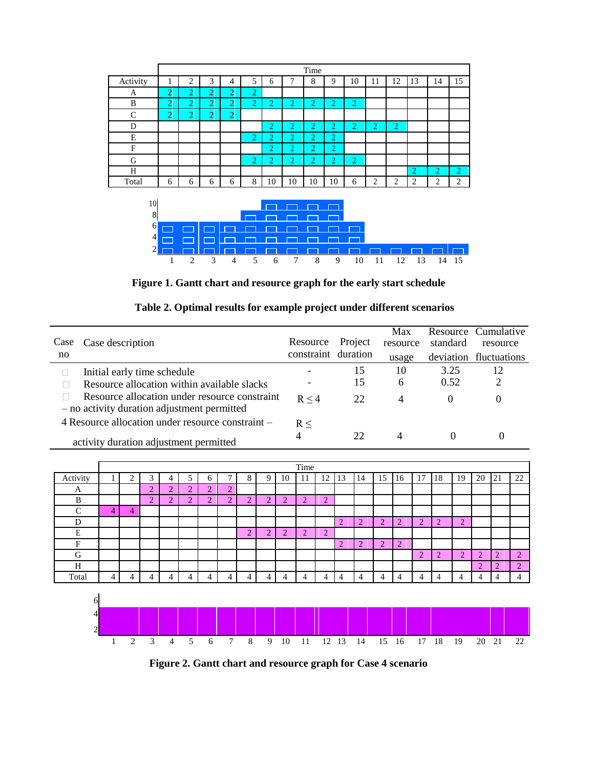|               | Time           |                |                |                |                |                |                |                |        |                |                |                |                |                   |    |
|---------------|----------------|----------------|----------------|----------------|----------------|----------------|----------------|----------------|--------|----------------|----------------|----------------|----------------|-------------------|----|
| Activity      |                | 2              | 3              | 4              | 5              | 6              | π              | 8              | 9      | 10             | 11             | 12             | 13             | 14                | 15 |
| A             | $\overline{2}$ | $\overline{2}$ | $\overline{2}$ | $\overline{2}$ | $\overline{2}$ |                |                |                |        |                |                |                |                |                   |    |
| B             | $\overline{2}$ | $\overline{2}$ | $\overline{2}$ | $\overline{2}$ | $\overline{2}$ | 2              | $\overline{2}$ | $\overline{2}$ | ŋ      | $\overline{2}$ |                |                |                |                   |    |
| $\mathcal{C}$ | $\overline{2}$ | o<br>∠         | $\bigcap$<br>∠ | $\overline{2}$ |                |                |                |                |        |                |                |                |                |                   |    |
| D             |                |                |                |                |                | 2              | $\overline{2}$ | $\overline{2}$ | 2      | $\overline{2}$ | $\overline{2}$ | $\overline{2}$ |                |                   |    |
| E             |                |                |                |                | $\overline{2}$ | $\overline{2}$ | 2              | $\overline{2}$ | റ<br>∠ |                |                |                |                |                   |    |
| F             |                |                |                |                |                | $\overline{2}$ | $\overline{2}$ | $\overline{2}$ | 2      |                |                |                |                |                   |    |
| G             |                |                |                |                | 2              | $\overline{2}$ | $\overline{2}$ | $\overline{2}$ | h<br>∠ | $\overline{2}$ |                |                |                |                   |    |
| H             |                |                |                |                |                |                |                |                |        |                |                |                | $\overline{2}$ | $\overline{2}$    | 2  |
| Total         | 6              | 6              | 6              | 6              | 8              | 10             | 10             | 10             | 10     | 6              | $\overline{2}$ | 2              | $\overline{2}$ | <sup>1</sup><br>∠ | 2  |
|               |                |                |                |                |                |                |                |                |        |                |                |                |                |                   |    |
| 10            |                |                |                |                |                |                |                |                |        |                |                |                |                |                   |    |



**Figure 1. Gantt chart and resource graph for the early start schedule**

|  |  | Table 2. Optimal results for example project under different scenarios |  |
|--|--|------------------------------------------------------------------------|--|
|  |  |                                                                        |  |

|      |                                                                                              |                     |         | Max      |          | Resource Cumulative    |
|------|----------------------------------------------------------------------------------------------|---------------------|---------|----------|----------|------------------------|
| Case | Case description                                                                             | Resource            | Project | resource | standard | resource               |
| no   |                                                                                              | constraint duration |         | usage    |          | deviation fluctuations |
|      | Initial early time schedule                                                                  |                     | 15      | 10       | 3.25     | 12                     |
|      | Resource allocation within available slacks                                                  |                     | 15      | 6        | 0.52     | 2                      |
|      | Resource allocation under resource constraint<br>- no activity duration adjustment permitted | R < 4               | 22      | 4        | $\theta$ | $\theta$               |
|      | 4 Resource allocation under resource constraint –                                            | R <                 |         |          |          |                        |
|      | activity duration adjustment permitted                                                       | 4                   | 22      | 4        |          | 0                      |



**Figure 2. Gantt chart and resource graph for Case 4 scenario**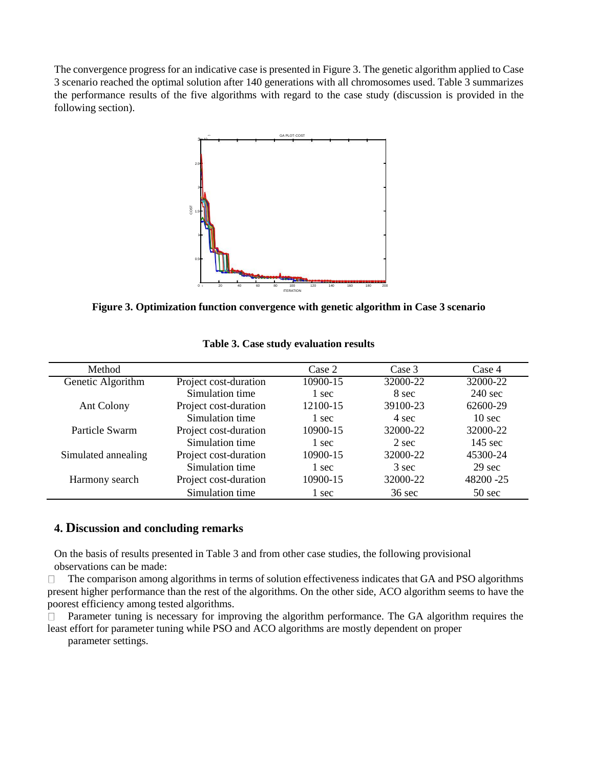The convergence progress for an indicative case is presented in Figure 3. The genetic algorithm applied to Case 3 scenario reached the optimal solution after 140 generations with all chromosomes used. Table 3 summarizes the performance results of the five algorithms with regard to the case study (discussion is provided in the following section).



**Figure 3. Optimization function convergence with genetic algorithm in Case 3 scenario**

| Method              |                       | Case 2   | Case 3           | Case 4            |
|---------------------|-----------------------|----------|------------------|-------------------|
| Genetic Algorithm   | Project cost-duration | 10900-15 | 32000-22         | 32000-22          |
|                     | Simulation time       | 1 sec    | 8 sec            | $240 \text{ sec}$ |
| Ant Colony          | Project cost-duration | 12100-15 | 39100-23         | 62600-29          |
|                     | Simulation time       | 1 sec    | 4 sec            | $10 \text{ sec}$  |
| Particle Swarm      | Project cost-duration | 10900-15 | 32000-22         | 32000-22          |
|                     | Simulation time       | 1 sec    | 2 sec            | $145 \text{ sec}$ |
| Simulated annealing | Project cost-duration | 10900-15 | 32000-22         | 45300-24          |
|                     | Simulation time       | 1 sec    | 3 sec            | $29 \text{ sec}$  |
| Harmony search      | Project cost-duration | 10900-15 | 32000-22         | 48200 - 25        |
|                     | Simulation time       | 1 sec    | $36 \text{ sec}$ | $50 \text{ sec}$  |

**Table 3. Case study evaluation results**

## **4. Discussion and concluding remarks**

On the basis of results presented in Table 3 and from other case studies, the following provisional observations can be made:

The comparison among algorithms in terms of solution effectiveness indicates that GA and PSO algorithms  $\Box$ present higher performance than the rest of the algorithms. On the other side, ACO algorithm seems to have the poorest efficiency among tested algorithms.

Parameter tuning is necessary for improving the algorithm performance. The GA algorithm requires the  $\Box$ least effort for parameter tuning while PSO and ACO algorithms are mostly dependent on proper

parameter settings.